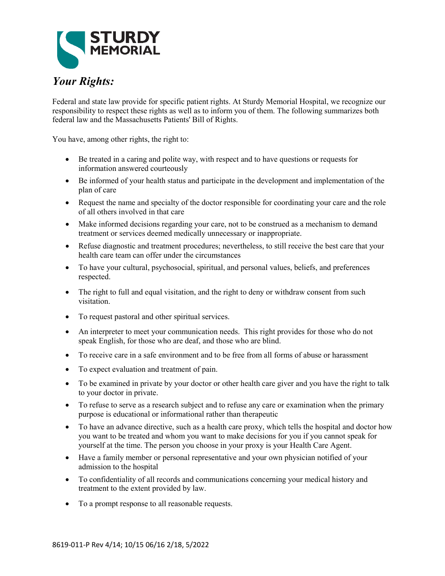

## *Your Rights:*

Federal and state law provide for specific patient rights. At Sturdy Memorial Hospital, we recognize our responsibility to respect these rights as well as to inform you of them. The following summarizes both federal law and the Massachusetts Patients' Bill of Rights.

You have, among other rights, the right to:

- Be treated in a caring and polite way, with respect and to have questions or requests for information answered courteously
- Be informed of your health status and participate in the development and implementation of the plan of care
- Request the name and specialty of the doctor responsible for coordinating your care and the role of all others involved in that care
- Make informed decisions regarding your care, not to be construed as a mechanism to demand treatment or services deemed medically unnecessary or inappropriate.
- Refuse diagnostic and treatment procedures; nevertheless, to still receive the best care that your health care team can offer under the circumstances
- To have your cultural, psychosocial, spiritual, and personal values, beliefs, and preferences respected.
- The right to full and equal visitation, and the right to deny or withdraw consent from such visitation.
- To request pastoral and other spiritual services.
- An interpreter to meet your communication needs. This right provides for those who do not speak English, for those who are deaf, and those who are blind.
- To receive care in a safe environment and to be free from all forms of abuse or harassment
- To expect evaluation and treatment of pain.
- To be examined in private by your doctor or other health care giver and you have the right to talk to your doctor in private.
- To refuse to serve as a research subject and to refuse any care or examination when the primary purpose is educational or informational rather than therapeutic
- To have an advance directive, such as a health care proxy, which tells the hospital and doctor how you want to be treated and whom you want to make decisions for you if you cannot speak for yourself at the time. The person you choose in your proxy is your Health Care Agent.
- Have a family member or personal representative and your own physician notified of your admission to the hospital
- To confidentiality of all records and communications concerning your medical history and treatment to the extent provided by law.
- To a prompt response to all reasonable requests.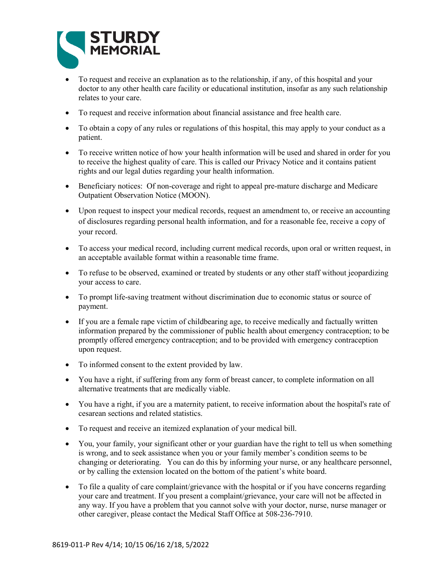

- To request and receive an explanation as to the relationship, if any, of this hospital and your doctor to any other health care facility or educational institution, insofar as any such relationship relates to your care.
- To request and receive information about financial assistance and free health care.
- To obtain a copy of any rules or regulations of this hospital, this may apply to your conduct as a patient.
- To receive written notice of how your health information will be used and shared in order for you to receive the highest quality of care. This is called our Privacy Notice and it contains patient rights and our legal duties regarding your health information.
- Beneficiary notices: Of non-coverage and right to appeal pre-mature discharge and Medicare Outpatient Observation Notice (MOON).
- Upon request to inspect your medical records, request an amendment to, or receive an accounting of disclosures regarding personal health information, and for a reasonable fee, receive a copy of your record.
- To access your medical record, including current medical records, upon oral or written request, in an acceptable available format within a reasonable time frame.
- To refuse to be observed, examined or treated by students or any other staff without jeopardizing your access to care.
- To prompt life-saving treatment without discrimination due to economic status or source of payment.
- If you are a female rape victim of childbearing age, to receive medically and factually written information prepared by the commissioner of public health about emergency contraception; to be promptly offered emergency contraception; and to be provided with emergency contraception upon request.
- To informed consent to the extent provided by law.
- You have a right, if suffering from any form of breast cancer, to complete information on all alternative treatments that are medically viable.
- You have a right, if you are a maternity patient, to receive information about the hospital's rate of cesarean sections and related statistics.
- To request and receive an itemized explanation of your medical bill.
- You, your family, your significant other or your guardian have the right to tell us when something is wrong, and to seek assistance when you or your family member's condition seems to be changing or deteriorating. You can do this by informing your nurse, or any healthcare personnel, or by calling the extension located on the bottom of the patient's white board.
- To file a quality of care complaint/grievance with the hospital or if you have concerns regarding your care and treatment. If you present a complaint/grievance, your care will not be affected in any way. If you have a problem that you cannot solve with your doctor, nurse, nurse manager or other caregiver, please contact the Medical Staff Office at 508-236-7910.